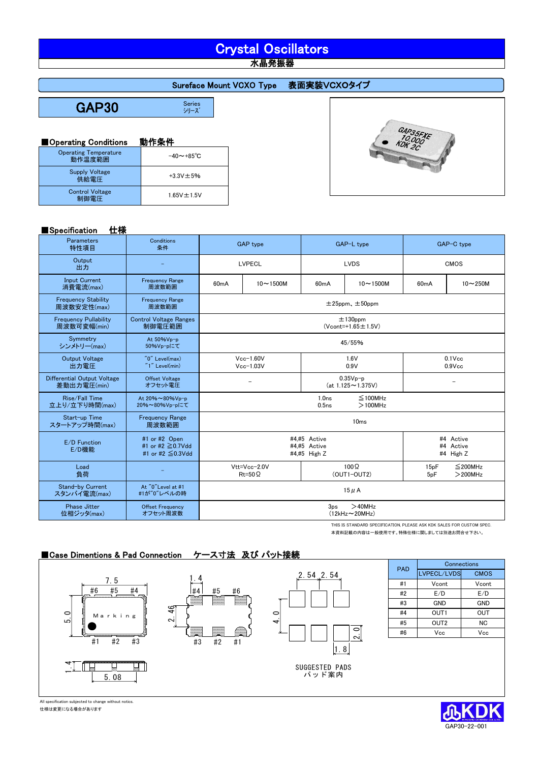# Crystal Oscillators 木晶発振器

## Sureface Mount VCXO Type 表面実装VCXOタイプ

GAP30

Series<br>シリーズ

## ■Operating Conditions 動作条件

| <b>Operating Temperature</b><br>動作温度範囲 | $-40 \sim +85^{\circ}$ C |
|----------------------------------------|--------------------------|
| <b>Supply Voltage</b><br>供給電圧          | $+3.3V \pm 5%$           |
| <b>Control Voltage</b><br>制御電圧         | $1.65V \pm 1.5V$         |

### ■Specification 仕様

| <b>GAP35FXE</b><br>10,000<br>KDK 2C |
|-------------------------------------|
|                                     |
|                                     |

| <b>I</b> opecification<br>1 L 1 X           |                                                             |                                                      |              |                                                                       |                  |                                     |                             |  |
|---------------------------------------------|-------------------------------------------------------------|------------------------------------------------------|--------------|-----------------------------------------------------------------------|------------------|-------------------------------------|-----------------------------|--|
| Parameters<br>特性項目                          | Conditions<br>条件                                            | <b>GAP</b> type                                      |              | GAP-L type                                                            |                  | GAP-C type                          |                             |  |
| Output<br>出力                                |                                                             | LVPECL                                               |              | <b>LVDS</b>                                                           |                  | <b>CMOS</b>                         |                             |  |
| <b>Input Current</b><br>消費電流(max)           | <b>Frequency Range</b><br>周波数範囲                             | 60mA                                                 | $10 - 1500M$ | 60 <sub>m</sub> A                                                     | $10 - 1500M$     | 60mA                                | $10 - 250M$                 |  |
| <b>Frequency Stability</b><br>周波数安定性(max)   | <b>Frequency Range</b><br>周波数範囲                             | $±25$ ppm, $±50$ ppm                                 |              |                                                                       |                  |                                     |                             |  |
| <b>Frequency Pullability</b><br>周波数可変幅(min) | <b>Control Voltage Ranges</b><br>制御電圧範囲                     | $±130$ ppm<br>$(Vcont=+1.65 \pm 1.5V)$               |              |                                                                       |                  |                                     |                             |  |
| Symmetry<br>シンメトリー(max)                     | At 50%Vp-p<br>50%Vp-pにて                                     | 45/55%                                               |              |                                                                       |                  |                                     |                             |  |
| <b>Output Voltage</b><br>出力電圧               | "0" Level(max)<br>$"1"$ Level(min)                          | $Vcc-1.60V$<br>$Vcc-1.03V$                           |              | 1.6V<br>0.9V                                                          |                  | $0.1$ Vcc<br>$0.9$ Vcc              |                             |  |
| Differential Output Voltage<br>差動出力電圧(min)  | <b>Offset Voltage</b><br>オフセット電圧                            |                                                      |              | $0.35Vp-p$<br>$(at 1.125 \sim 1.375V)$                                |                  |                                     |                             |  |
| Rise/Fall Time<br>立上り/立下り時間(max)            | At 20%~80%Vp-p<br>20%~80%Vp-pにて                             |                                                      |              | 1.0 <sub>ns</sub><br>$\leq$ 100MHz<br>0.5 <sub>ns</sub><br>$>100$ MHz |                  |                                     |                             |  |
| Start-up Time<br>スタートアップ時間(max)             | <b>Frequency Range</b><br>周波数範囲                             |                                                      |              |                                                                       | 10 <sub>ms</sub> |                                     |                             |  |
| E/D Function<br>E/D機能                       | #1 or #2 Open<br>#1 or #2 ≥0.7Vdd<br>#1 or #2 $\leq$ 0.3Vdd | #4.#5 Active<br>#4.#5 Active<br>#4,#5 High Z         |              |                                                                       |                  | #4 Active<br>#4 Active<br>#4 High Z |                             |  |
| Load<br>負荷                                  |                                                             | Vtt=Vcc-2.0V<br>$Rt = 50 \Omega$                     |              | $100\Omega$<br>$(OUT1-OUT2)$                                          |                  | 15pF<br>5 <sub>pF</sub>             | $\leq$ 200MHz<br>$>$ 200MHz |  |
| Stand-by Current<br>スタンバイ電流(max)            | At "0"Level at #1<br>#1が"0"レベルの時                            | $15 \mu A$                                           |              |                                                                       |                  |                                     |                             |  |
| <b>Phase Jitter</b><br>位相ジッタ(max)           | <b>Offset Frequency</b><br>オフセット周波数                         | $>40$ MHz<br>3 <sub>ps</sub><br>$(12kHz \sim 20MHz)$ |              |                                                                       |                  |                                     |                             |  |

THIS IS STANDARD SPECIFICATION, PLEASE ASK KDK SALES FOR CUSTOM SPEC. 本資料記載の内容は一般使用です。特殊仕様に関しましては別途お問合せ下さい。

## ■Case Dimentions & Pad Connection ケース寸法 及び パット接続



All specification subjected to change without notics. 仕様は変更になる場合があります